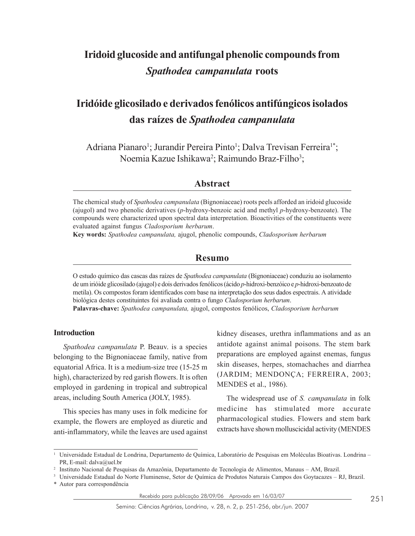# **Iridoid glucoside and antifungal phenolic compounds from** *Spathodea campanulata* **roots**

## **Iridóide glicosilado e derivados fenólicos antifúngicos isolados das raízes de** *Spathodea campanulata*

Adriana Pianaro<sup>1</sup>; Jurandir Pereira Pinto<sup>1</sup>; Dalva Trevisan Ferreira<sup>1\*</sup>; Noemia Kazue Ishikawa<sup>2</sup>; Raimundo Braz-Filho<sup>3</sup>;

### **Abstract**

The chemical study of *Spathodea campanulata* (Bignoniaceae) roots peels afforded an iridoid glucoside (ajugol) and two phenolic derivatives (*p*-hydroxy-benzoic acid and methyl *p*-hydroxy-benzoate). The compounds were characterized upon spectral data interpretation. Bioactivities of the constituents were evaluated against fungus *Cladosporium herbarum*.

**Key words:** *Spathodea campanulata,* ajugol, phenolic compounds, *Cladosporium herbarum*

### **Resumo**

O estudo químico das cascas das raízes de *Spathodea campanulata* (Bignoniaceae) conduziu ao isolamento de um irióide glicosilado (ajugol) e dois derivados fenólicos (ácido *p*-hidroxi-benzóico e *p*-hidroxi-benzoato de metila). Os compostos foram identificados com base na interpretação dos seus dados espectrais. A atividade biológica destes constituintes foi avaliada contra o fungo *Cladosporium herbarum*.

**Palavras-chave:** *Spathodea campanulata,* ajugol, compostos fenólicos, *Cladosporium herbarum*

#### **Introduction**

*Spathodea campanulata* P. Beauv. is a species belonging to the Bignoniaceae family, native from equatorial Africa. It is a medium-size tree (15-25 m high), characterized by red garish flowers. It is often employed in gardening in tropical and subtropical areas, including South America (JOLY, 1985).

This species has many uses in folk medicine for example, the flowers are employed as diuretic and anti-inflammatory, while the leaves are used against

kidney diseases, urethra inflammations and as an antidote against animal poisons. The stem bark preparations are employed against enemas, fungus skin diseases, herpes, stomachaches and diarrhea (JARDIM; MENDONÇA; FERREIRA, 2003; MENDES et al., 1986).

The widespread use of *S. campanulata* in folk medicine has stimulated more accurate pharmacological studies. Flowers and stem bark extracts have shown molluscicidal activity (MENDES

Recebido para publicação 28/09/06 Aprovado em 16/03/07

<sup>1</sup> Universidade Estadual de Londrina, Departamento de Química, Laboratório de Pesquisas em Moléculas Bioativas. Londrina – PR, E-mail: dalva@uel.br

<sup>2</sup> Instituto Nacional de Pesquisas da Amazônia, Departamento de Tecnologia de Alimentos, Manaus – AM, Brazil.

<sup>3</sup> Universidade Estadual do Norte Fluminense, Setor de Química de Produtos Naturais Campos dos Goytacazes – RJ, Brazil.

<sup>\*</sup> Autor para correspondência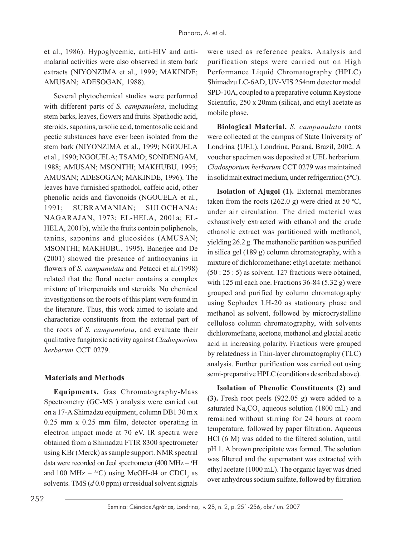et al., 1986). Hypoglycemic, anti-HIV and antimalarial activities were also observed in stem bark extracts (NIYONZIMA et al., 1999; MAKINDE; AMUSAN; ADESOGAN, 1988).

Several phytochemical studies were performed with different parts of *S. campanulata*, including stem barks, leaves, flowers and fruits. Spathodic acid, steroids, saponins, ursolic acid, tomentosolic acid and pectic substances have ever been isolated from the stem bark (NIYONZIMA et al., 1999; NGOUELA et al., 1990; NGOUELA; TSAMO; SONDENGAM, 1988; AMUSAN; MSONTHI; MAKHUBU, 1995; AMUSAN; ADESOGAN; MAKINDE, 1996). The leaves have furnished spathodol, caffeic acid, other phenolic acids and flavonoids (NGOUELA et al., 1991; SUBRAMANIAN; SULOCHANA; NAGARAJAN, 1973; EL-HELA, 2001a; EL-HELA, 2001b), while the fruits contain poliphenols, tanins, saponins and glucosides (AMUSAN; MSONTHI; MAKHUBU, 1995). Banerjee and De (2001) showed the presence of anthocyanins in flowers of *S. campanulata* and Petacci et al.(1998) related that the floral nectar contains a complex mixture of triterpenoids and steroids. No chemical investigations on the roots of this plant were found in the literature. Thus, this work aimed to isolate and characterize constituents from the external part of the roots of *S. campanulata*, and evaluate their qualitative fungitoxic activity against *Cladosporium herbarum* CCT 0279.

## **Materials and Methods**

**Equipments.** Gas Chromatography-Mass Spectrometry (GC-MS ) analysis were carried out on a 17-A Shimadzu equipment, column DB1 30 m x 0.25 mm x 0.25 mm film, detector operating in electron impact mode at 70 eV. IR spectra were obtained from a Shimadzu FTIR 8300 spectrometer using KBr (Merck) as sample support. NMR spectral data were recorded on Jeol spectrometer (400 MHz – *<sup>1</sup>* H and 100 MHz  $-$  <sup>13</sup>C) using MeOH-d4 or CDCl<sub>3</sub> as solvents. TMS (*d* 0.0 ppm) or residual solvent signals were used as reference peaks. Analysis and purification steps were carried out on High Performance Liquid Chromatography (HPLC) Shimadzu LC-6AD, UV-VIS 254nm detector model SPD-10A, coupled to a preparative column Keystone Scientific, 250 x 20mm (silica), and ethyl acetate as mobile phase.

**Biological Material.** *S. campanulata* roots were collected at the campus of State University of Londrina {UEL), Londrina, Paraná, Brazil, 2002. A voucher specimen was deposited at UEL herbarium. *Cladosporium herbarum* CCT 0279 was maintained in solid malt extract medium, under refrigeration (5ºC).

**Isolation of Ajugol (1).** External membranes taken from the roots  $(262.0 \text{ g})$  were dried at 50 °C, under air circulation. The dried material was exhaustively extracted with ethanol and the crude ethanolic extract was partitioned with methanol, yielding 26.2 g. The methanolic partition was purified in silica gel (189 g) column chromatography, with a mixture of dichloromethane: ethyl acetate: methanol (50 : 25 : 5) as solvent. 127 fractions were obtained, with 125 ml each one. Fractions 36-84 (5.32 g) were grouped and purified by column chromatography using Sephadex LH-20 as stationary phase and methanol as solvent, followed by microcrystalline cellulose column chromatography, with solvents dichloromethane, acetone, methanol and glacial acetic acid in increasing polarity. Fractions were grouped by relatedness in Thin-layer chromatography (TLC) analysis. Further purification was carried out using semi-preparative HPLC (conditions described above).

**Isolation of Phenolic Constituents (2) and (3).** Fresh root peels (922.05 g) were added to a saturated  $\text{Na}_2\text{CO}_3$  aqueous solution (1800 mL) and remained without stirring for 24 hours at room temperature, followed by paper filtration. Aqueous HCl (6 M) was added to the filtered solution, until pH 1. A brown precipitate was formed. The solution was filtered and the supernatant was extracted with ethyl acetate (1000 mL). The organic layer was dried over anhydrous sodium sulfate, followed by filtration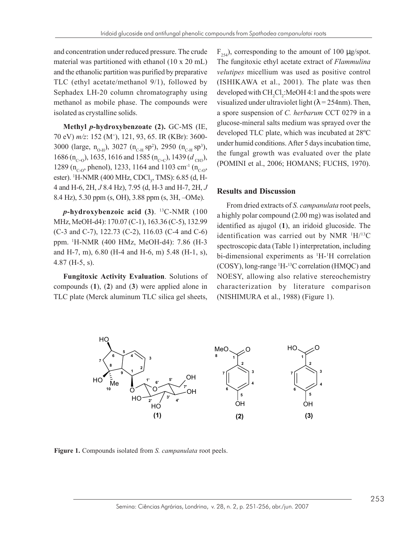and concentration under reduced pressure. The crude material was partitioned with ethanol (10 x 20 mL) and the ethanolic partition was purified by preparative TLC (ethyl acetate/methanol 9/1), followed by Sephadex LH-20 column chromatography using methanol as mobile phase. The compounds were isolated as crystalline solids.

**Methyl** *p-***hydroxybenzoate (2).** GC-MS (IE, 70 eV)  $m/z$ : 152 (M<sup>+</sup>), 121, 93, 65. IR (KBr): 3600-3000 (large, n<sub>O-H</sub>), 3027 (n<sub>C-H</sub> sp<sup>2</sup>), 2950 (n<sub>C-H</sub> sp<sup>3</sup>), 1686 (n<sub>C=O</sub>), 1635, 1616 and 1585 (n<sub>C=C</sub>), 1439 (d<sub>CH3</sub>), 1289 ( $n_{C_1}$ , phenol), 1233, 1164 and 1103 cm<sup>-1</sup> ( $n_{C_1}$ ) ester). <sup>1</sup>H-NMR (400 MHz, CDCl<sub>3</sub>, TMS): 6.85 (d, H-4 and H-6, 2H, *J* 8.4 Hz), 7.95 (d, H-3 and H-7, 2H, *J* 8.4 Hz), 5.30 ppm (s, OH), 3.88 ppm (s, 3H, –OMe).

*p***-hydroxybenzoic acid (3)**. 13C-NMR (100 MHz, MeOH-d4): 170.07 (C-1), 163.36 (C-5), 132.99 (C-3 and C-7), 122.73 (C-2), 116.03 (C-4 and C-6) ppm. 1 H-NMR (400 HMz, MeOH-d4): 7.86 (H-3 and H-7, m), 6.80 (H-4 and H-6, m) 5.48 (H-1, s), 4.87 (H-5, s).

**Fungitoxic Activity Evaluation**. Solutions of compounds (**1**), (**2**) and (**3**) were applied alone in TLC plate (Merck aluminum TLC silica gel sheets,

 $F_{254}$ ), corresponding to the amount of 100 µg/spot. The fungitoxic ethyl acetate extract of *Flammulina velutipes* micellium was used as positive control (ISHIKAWA et al., 2001). The plate was then developed with  $CH_2Cl_2$ :MeOH 4:1 and the spots were visualized under ultraviolet light  $(\lambda = 254$ nm). Then, a spore suspension of *C. herbarum* CCT 0279 in a glucose-mineral salts medium was sprayed over the developed TLC plate, which was incubated at 28ºC under humid conditions. After 5 days incubation time, the fungal growth was evaluated over the plate (POMINI et al., 2006; HOMANS; FUCHS, 1970).

#### **Results and Discussion**

From dried extracts of *S. campanulata* root peels, a highly polar compound (2.00 mg) was isolated and identified as ajugol (**1**), an iridoid glucoside. The identification was carried out by NMR  $^1H/^{13}C$ spectroscopic data (Table 1) interpretation, including bi-dimensional experiments as <sup>1</sup>H-<sup>1</sup>H correlation (COSY), long-range 1 H-13C correlation (HMQC) and NOESY, allowing also relative stereochemistry characterization by literature comparison (NISHIMURA et al., 1988) (Figure 1).



**Figure 1.** Compounds isolated from *S. campanulata* root peels.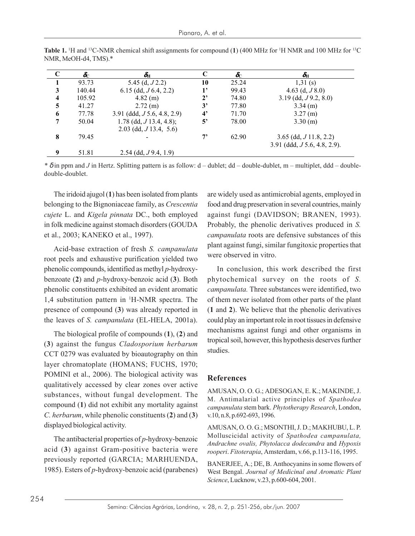| C                | $\delta_{\!\scriptscriptstyle\mathrm{C}}$ | $\delta_{\rm H}$              | C           | $\delta_{\!\scriptscriptstyle\rm C}$ | $\delta_{\!\scriptscriptstyle\mathrm{H}}$ |
|------------------|-------------------------------------------|-------------------------------|-------------|--------------------------------------|-------------------------------------------|
|                  | 93.73                                     | 5.45 (d, $J$ 2.2)             | 10          | 25.24                                | 1,31(s)                                   |
| 3                | 140.44                                    | 6.15 (dd, $J$ 6.4, 2.2)       | 1'          | 99.43                                | 4.63 (d, $J(8.0)$ )                       |
| $\boldsymbol{4}$ | 105.92                                    | $4.82$ (m)                    | $2^,$       | 74.80                                | $3.19$ (dd, $J9.2$ , 8.0)                 |
| 5                | 41.27                                     | $2.72$ (m)                    | 3'          | 77.80                                | $3.34$ (m)                                |
| 6                | 77.78                                     | 3.91 (ddd, $J$ 5.6, 4.8, 2.9) | $4^{\circ}$ | 71.70                                | $3.27$ (m)                                |
| 7                | 50.04                                     | $1.78$ (dd, $J$ 13.4, 4.8);   | 5'          | 78.00                                | $3.30$ (m)                                |
|                  |                                           | $2.03$ (dd, $J$ 13.4, 5.6)    |             |                                      |                                           |
| 8                | 79.45                                     |                               | 7,          | 62.90                                | $3.65$ (dd, $J11.8$ , 2.2)                |
|                  |                                           |                               |             |                                      | 3.91 (ddd, $J$ 5.6, 4.8, 2.9).            |
| $\mathbf 0$      | 51.81                                     | $2.54$ (dd, $J9.4$ , 1.9)     |             |                                      |                                           |

**Table 1.** <sup>1</sup>H and <sup>13</sup>C-NMR chemical shift assignments for compound (1) (400 MHz for <sup>1</sup>H NMR and 100 MHz for <sup>13</sup>C NMR, MeOH-d4, TMS).\*

 $*\delta$  in ppm and *J* in Hertz. Splitting pattern is as follow:  $d$  – dublet; dd – double-dublet, m – multiplet, ddd – doubledouble-doublet.

The iridoid ajugol (**1**) has been isolated from plants belonging to the Bignoniaceae family, as *Crescentia cujete* L. and *Kigela pinnata* DC., both employed in folk medicine against stomach disorders (GOUDA et al., 2003; KANEKO et al., 1997).

Acid-base extraction of fresh *S. campanulata* root peels and exhaustive purification yielded two phenolic compounds, identified as methyl *p*-hydroxybenzoate (**2**) and *p*-hydroxy-benzoic acid (**3**). Both phenolic constituents exhibited an evident aromatic 1,4 substitution pattern in 1 H-NMR spectra. The presence of compound (**3**) was already reported in the leaves of *S. campanulata* (EL-HELA, 2001a).

The biological profile of compounds (**1**), (**2**) and (**3**) against the fungus *Cladosporium herbarum* CCT 0279 was evaluated by bioautography on thin layer chromatoplate (HOMANS; FUCHS, 1970; POMINI et al., 2006). The biological activity was qualitatively accessed by clear zones over active substances, without fungal development. The compound (**1**) did not exhibit any mortality against *C. herbarum*, while phenolic constituents (**2**) and (**3**) displayed biological activity.

The antibacterial properties of *p*-hydroxy-benzoic acid (**3**) against Gram-positive bacteria were previously reported (GARCIA; MARHUENDA, 1985). Esters of *p*-hydroxy-benzoic acid (parabenes)

are widely used as antimicrobial agents, employed in food and drug preservation in several countries, mainly against fungi (DAVIDSON; BRANEN, 1993). Probably, the phenolic derivatives produced in *S. campanulata* roots are defensive substances of this plant against fungi, similar fungitoxic properties that were observed in vitro.

In conclusion, this work described the first phytochemical survey on the roots of *S. campanulata.* Three substances were identified, two of them never isolated from other parts of the plant (**1** and **2**). We believe that the phenolic derivatives could play an important role in root tissues in defensive mechanisms against fungi and other organisms in tropical soil, however, this hypothesis deserves further studies.

#### **References**

AMUSAN, O. O. G.; ADESOGAN, E. K.; MAKINDE, J. M. Antimalarial active principles of *Spathodea campanulata* stem bark. *Phytotherapy Research*, London, v.10, n.8, p.692-693, 1996.

AMUSAN, O. O. G.; MSONTHI, J. D.; MAKHUBU, L. P. Molluscicidal activity of *Spathodea campanulata, Andrachne ovalis, Phytolacca dodecandra* and *Hypoxis rooperi*. *Fitoterapia*, Amsterdam, v.66, p.113-116, 1995.

BANERJEE, A.; DE, B. Anthocyanins in some flowers of West Bengal. *Journal of Medicinal and Aromatic Plant Science*, Lucknow, v.23, p.600-604, 2001.